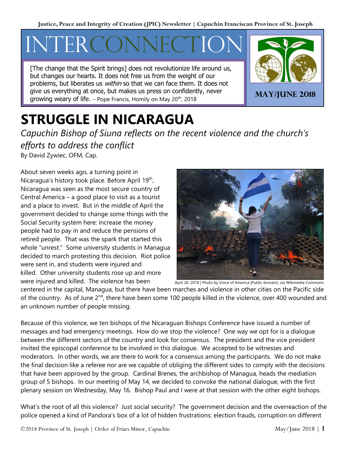# INTERC

[The change that the Spirit brings] does not revolutionize life around us, but changes our hearts. It does not free us from the weight of our problems, but liberates us *within* so that we can face them. It does not give us everything at once, but makes us press on confidently, never give us everything at once, but makes us press on connuently, never **MAY/JUNE 2018** and the connect of life. – Pope Francis, Homily on May 20<sup>th</sup>, 2018



## **STRUGGLE IN NICARAGUA**

*Capuchin Bishop of Siuna reflects on the recent violence and the church's efforts to address the conflict* By David Zywiec, OFM, Cap.

About seven weeks ago, a turning point in Nicaragua's history took place. Before April 19<sup>th</sup>, Nicaragua was seen as the most secure country of Central America – a good place to visit as a tourist and a place to invest. But in the middle of April the government decided to change some things with the Social Security system here: increase the money people had to pay in and reduce the pensions of retired people. That was the spark that started this whole "unrest." Some university students in Managua decided to march protesting this decision. Riot police were sent in, and students were injured and killed. Other university students rose up and more were injured and killed. The violence has been



centered in the capital, Managua, but there have been marches and violence in other cities on the Pacific side of the country. As of June 2<sup>nd</sup>, there have been some 100 people killed in the violence, over 400 wounded and an unknown number of people missing.

Because of this violence, we ten bishops of the Nicaraguan Bishops Conference have issued a number of messages and had emergency meetings. How do we stop the violence? One way we opt for is a dialogue between the different sectors of the country and look for consensus. The president and the vice president invited the episcopal conference to be involved in this dialogue. We accepted to be witnesses and moderators. In other words, we are there to work for a consensus among the participants. We do not make the final decision like a referee nor are we capable of obliging the different sides to comply with the decisions that have been approved by the group. Cardinal Brenes, the archbishop of Managua, heads the mediation group of 5 bishops. In our meeting of May 14, we decided to convoke the national dialogue, with the first plenary session on Wednesday, May 16. Bishop Paul and I were at that session with the other eight bishops.

What's the root of all this violence? Just social security? The government decision and the overreaction of the police opened a kind of Pandora's box of a lot of hidden frustrations: election frauds, corruption on different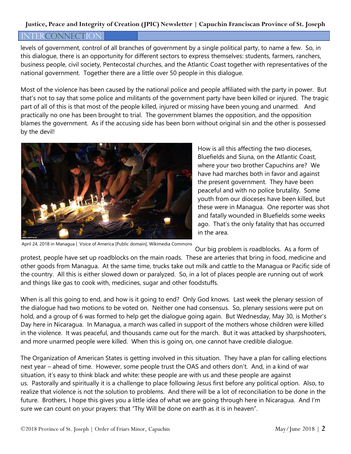#### **Justice, Peace and Integrity of Creation (JPIC) Newsletter | Capuchin Franciscan Province of St. Joseph**

#### INTERCONNECTION

levels of government, control of all branches of government by a single political party, to name a few. So, in this dialogue, there is an opportunity for different sectors to express themselves: students, farmers, ranchers, business people, civil society, Pentecostal churches, and the Atlantic Coast together with representatives of the national government. Together there are a little over 50 people in this dialogue.

Most of the violence has been caused by the national police and people affiliated with the party in power. But that's not to say that some police and militants of the government party have been killed or injured. The tragic part of all of this is that most of the people killed, injured or missing have been young and unarmed. And practically no one has been brought to trial. The government blames the opposition, and the opposition blames the government. As if the accusing side has been born without original sin and the other is possessed by the devil!



April 24, 2018 in Managua | Voice of America [Public domain], Wikimedia Commons

How is all this affecting the two dioceses, Bluefields and Siuna, on the Atlantic Coast, where your two brother Capuchins are? We have had marches both in favor and against the present government. They have been peaceful and with no police brutality. Some youth from our dioceses have been killed, but these were in Managua. One reporter was shot and fatally wounded in Bluefields some weeks ago. That's the only fatality that has occurred in the area.

Our big problem is roadblocks. As a form of

protest, people have set up roadblocks on the main roads. These are arteries that bring in food, medicine and other goods from Managua. At the same time, trucks take out milk and cattle to the Managua or Pacific side of the country. All this is either slowed down or paralyzed. So, in a lot of places people are running out of work and things like gas to cook with, medicines, sugar and other foodstuffs.

When is all this going to end, and how is it going to end? Only God knows. Last week the plenary session of the dialogue had two motions to be voted on. Neither one had consensus. So, plenary sessions were put on hold, and a group of 6 was formed to help get the dialogue going again. But Wednesday, May 30, is Mother's Day here in Nicaragua. In Managua, a march was called in support of the mothers whose children were killed in the violence. It was peaceful, and thousands came out for the march. But it was attacked by sharpshooters, and more unarmed people were killed. When this is going on, one cannot have credible dialogue.

The Organization of American States is getting involved in this situation. They have a plan for calling elections next year – ahead of time. However, some people trust the OAS and others don't. And, in a kind of war situation, it's easy to think black and white: these people are with us and these people are against us. Pastorally and spiritually it is a challenge to place following Jesus first before any political option. Also, to realize that violence is not the solution to problems. And there will be a lot of reconciliation to be done in the future. Brothers, I hope this gives you a little idea of what we are going through here in Nicaragua. And I'm sure we can count on your prayers: that "Thy Will be done on earth as it is in heaven".